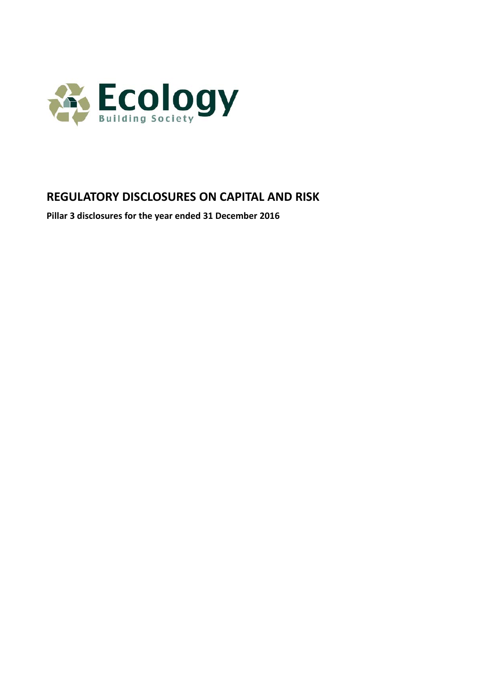

# **REGULATORY DISCLOSURES ON CAPITAL AND RISK**

**Pillar 3 disclosures for the year ended 31 December 2016**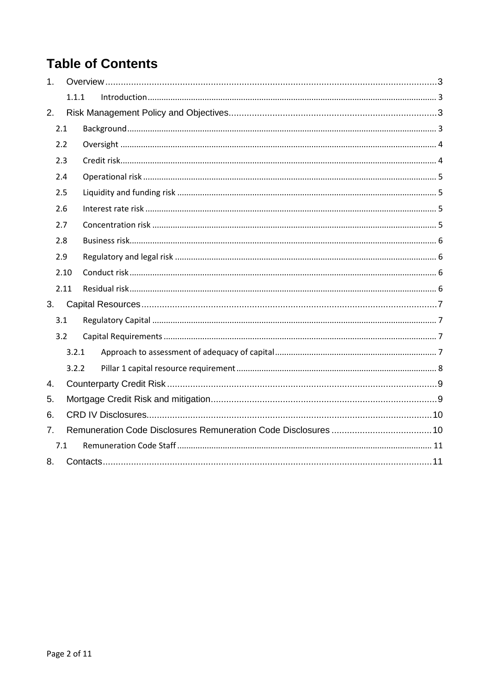# **Table of Contents**

| 1 <sub>1</sub> |       |  |  |  |  |
|----------------|-------|--|--|--|--|
|                | 1.1.1 |  |  |  |  |
| 2.             |       |  |  |  |  |
|                | 2.1   |  |  |  |  |
|                | 2.2   |  |  |  |  |
|                | 2.3   |  |  |  |  |
|                | 2.4   |  |  |  |  |
|                | 2.5   |  |  |  |  |
|                | 2.6   |  |  |  |  |
|                | 2.7   |  |  |  |  |
|                | 2.8   |  |  |  |  |
|                | 2.9   |  |  |  |  |
|                | 2.10  |  |  |  |  |
|                | 2.11  |  |  |  |  |
| 3.             |       |  |  |  |  |
|                | 3.1   |  |  |  |  |
|                | 3.2   |  |  |  |  |
|                | 3.2.1 |  |  |  |  |
|                | 3.2.2 |  |  |  |  |
| 4.             |       |  |  |  |  |
| 5.             |       |  |  |  |  |
| 6.             |       |  |  |  |  |
| 7.             |       |  |  |  |  |
| 7.1            |       |  |  |  |  |
| 8.             |       |  |  |  |  |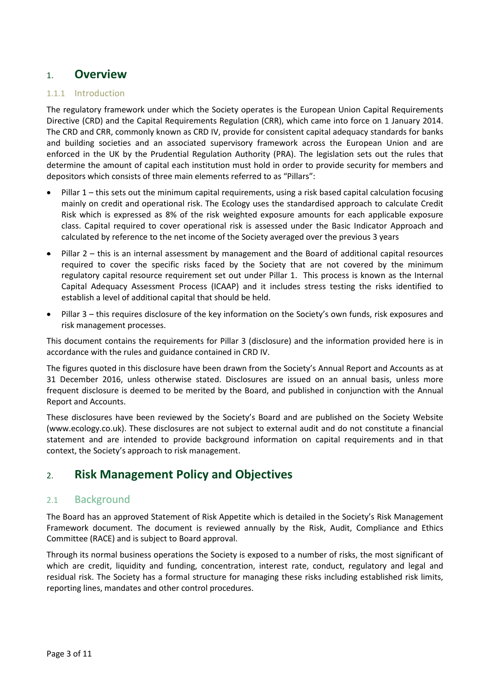# 1. **Overview**

#### 1.1.1 Introduction

The regulatory framework under which the Society operates is the European Union Capital Requirements Directive (CRD) and the Capital Requirements Regulation (CRR), which came into force on 1 January 2014. The CRD and CRR, commonly known as CRD IV, provide for consistent capital adequacy standards for banks and building societies and an associated supervisory framework across the European Union and are enforced in the UK by the Prudential Regulation Authority (PRA). The legislation sets out the rules that determine the amount of capital each institution must hold in order to provide security for members and depositors which consists of three main elements referred to as "Pillars":

- Pillar 1 this sets out the minimum capital requirements, using a risk based capital calculation focusing mainly on credit and operational risk. The Ecology uses the standardised approach to calculate Credit Risk which is expressed as 8% of the risk weighted exposure amounts for each applicable exposure class. Capital required to cover operational risk is assessed under the Basic Indicator Approach and calculated by reference to the net income of the Society averaged over the previous 3 years
- Pillar 2 this is an internal assessment by management and the Board of additional capital resources required to cover the specific risks faced by the Society that are not covered by the minimum regulatory capital resource requirement set out under Pillar 1. This process is known as the Internal Capital Adequacy Assessment Process (ICAAP) and it includes stress testing the risks identified to establish a level of additional capital that should be held.
- Pillar 3 this requires disclosure of the key information on the Society's own funds, risk exposures and risk management processes.

This document contains the requirements for Pillar 3 (disclosure) and the information provided here is in accordance with the rules and guidance contained in CRD IV.

The figures quoted in this disclosure have been drawn from the Society's Annual Report and Accounts as at 31 December 2016, unless otherwise stated. Disclosures are issued on an annual basis, unless more frequent disclosure is deemed to be merited by the Board, and published in conjunction with the Annual Report and Accounts.

These disclosures have been reviewed by the Society's Board and are published on the Society Website [\(www.ecology.co.uk\)](http://www.ecology.co.uk/). These disclosures are not subject to external audit and do not constitute a financial statement and are intended to provide background information on capital requirements and in that context, the Society's approach to risk management.

# 2. **Risk Management Policy and Objectives**

#### 2.1 Background

The Board has an approved Statement of Risk Appetite which is detailed in the Society's Risk Management Framework document. The document is reviewed annually by the Risk, Audit, Compliance and Ethics Committee (RACE) and is subject to Board approval.

Through its normal business operations the Society is exposed to a number of risks, the most significant of which are credit, liquidity and funding, concentration, interest rate, conduct, regulatory and legal and residual risk. The Society has a formal structure for managing these risks including established risk limits, reporting lines, mandates and other control procedures.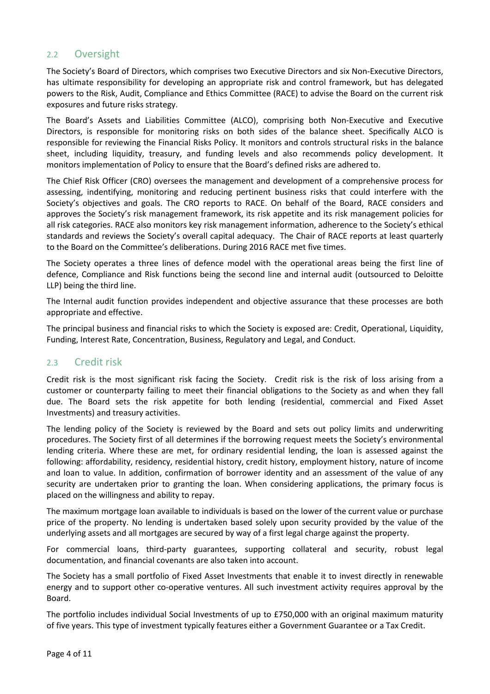### 2.2 Oversight

The Society's Board of Directors, which comprises two Executive Directors and six Non-Executive Directors, has ultimate responsibility for developing an appropriate risk and control framework, but has delegated powers to the Risk, Audit, Compliance and Ethics Committee (RACE) to advise the Board on the current risk exposures and future risks strategy.

The Board's Assets and Liabilities Committee (ALCO), comprising both Non-Executive and Executive Directors, is responsible for monitoring risks on both sides of the balance sheet. Specifically ALCO is responsible for reviewing the Financial Risks Policy. It monitors and controls structural risks in the balance sheet, including liquidity, treasury, and funding levels and also recommends policy development. It monitors implementation of Policy to ensure that the Board's defined risks are adhered to.

The Chief Risk Officer (CRO) oversees the management and development of a comprehensive process for assessing, indentifying, monitoring and reducing pertinent business risks that could interfere with the Society's objectives and goals. The CRO reports to RACE. On behalf of the Board, RACE considers and approves the Society's risk management framework, its risk appetite and its risk management policies for all risk categories. RACE also monitors key risk management information, adherence to the Society's ethical standards and reviews the Society's overall capital adequacy. The Chair of RACE reports at least quarterly to the Board on the Committee's deliberations. During 2016 RACE met five times.

The Society operates a three lines of defence model with the operational areas being the first line of defence, Compliance and Risk functions being the second line and internal audit (outsourced to Deloitte LLP) being the third line.

The Internal audit function provides independent and objective assurance that these processes are both appropriate and effective.

The principal business and financial risks to which the Society is exposed are: Credit, Operational, Liquidity, Funding, Interest Rate, Concentration, Business, Regulatory and Legal, and Conduct.

### 2.3 Credit risk

Credit risk is the most significant risk facing the Society. Credit risk is the risk of loss arising from a customer or counterparty failing to meet their financial obligations to the Society as and when they fall due. The Board sets the risk appetite for both lending (residential, commercial and Fixed Asset Investments) and treasury activities.

The lending policy of the Society is reviewed by the Board and sets out policy limits and underwriting procedures. The Society first of all determines if the borrowing request meets the Society's environmental lending criteria. Where these are met, for ordinary residential lending, the loan is assessed against the following: affordability, residency, residential history, credit history, employment history, nature of income and loan to value. In addition, confirmation of borrower identity and an assessment of the value of any security are undertaken prior to granting the loan. When considering applications, the primary focus is placed on the willingness and ability to repay.

The maximum mortgage loan available to individuals is based on the lower of the current value or purchase price of the property. No lending is undertaken based solely upon security provided by the value of the underlying assets and all mortgages are secured by way of a first legal charge against the property.

For commercial loans, third-party guarantees, supporting collateral and security, robust legal documentation, and financial covenants are also taken into account.

The Society has a small portfolio of Fixed Asset Investments that enable it to invest directly in renewable energy and to support other co-operative ventures. All such investment activity requires approval by the Board.

The portfolio includes individual Social Investments of up to £750,000 with an original maximum maturity of five years. This type of investment typically features either a Government Guarantee or a Tax Credit.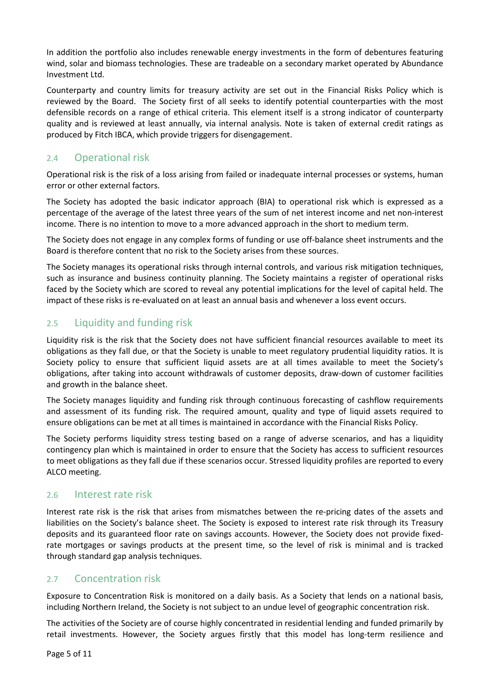In addition the portfolio also includes renewable energy investments in the form of debentures featuring wind, solar and biomass technologies. These are tradeable on a secondary market operated by Abundance Investment Ltd.

Counterparty and country limits for treasury activity are set out in the Financial Risks Policy which is reviewed by the Board. The Society first of all seeks to identify potential counterparties with the most defensible records on a range of ethical criteria. This element itself is a strong indicator of counterparty quality and is reviewed at least annually, via internal analysis. Note is taken of external credit ratings as produced by Fitch IBCA, which provide triggers for disengagement.

# 2.4 Operational risk

Operational risk is the risk of a loss arising from failed or inadequate internal processes or systems, human error or other external factors.

The Society has adopted the basic indicator approach (BIA) to operational risk which is expressed as a percentage of the average of the latest three years of the sum of net interest income and net non-interest income. There is no intention to move to a more advanced approach in the short to medium term.

The Society does not engage in any complex forms of funding or use off-balance sheet instruments and the Board is therefore content that no risk to the Society arises from these sources.

The Society manages its operational risks through internal controls, and various risk mitigation techniques, such as insurance and business continuity planning. The Society maintains a register of operational risks faced by the Society which are scored to reveal any potential implications for the level of capital held. The impact of these risks is re-evaluated on at least an annual basis and whenever a loss event occurs.

# 2.5 Liquidity and funding risk

Liquidity risk is the risk that the Society does not have sufficient financial resources available to meet its obligations as they fall due, or that the Society is unable to meet regulatory prudential liquidity ratios. It is Society policy to ensure that sufficient liquid assets are at all times available to meet the Society's obligations, after taking into account withdrawals of customer deposits, draw-down of customer facilities and growth in the balance sheet.

The Society manages liquidity and funding risk through continuous forecasting of cashflow requirements and assessment of its funding risk. The required amount, quality and type of liquid assets required to ensure obligations can be met at all times is maintained in accordance with the Financial Risks Policy.

The Society performs liquidity stress testing based on a range of adverse scenarios, and has a liquidity contingency plan which is maintained in order to ensure that the Society has access to sufficient resources to meet obligations as they fall due if these scenarios occur. Stressed liquidity profiles are reported to every ALCO meeting.

### 2.6 Interest rate risk

Interest rate risk is the risk that arises from mismatches between the re-pricing dates of the assets and liabilities on the Society's balance sheet. The Society is exposed to interest rate risk through its Treasury deposits and its guaranteed floor rate on savings accounts. However, the Society does not provide fixedrate mortgages or savings products at the present time, so the level of risk is minimal and is tracked through standard gap analysis techniques.

# 2.7 Concentration risk

Exposure to Concentration Risk is monitored on a daily basis. As a Society that lends on a national basis, including Northern Ireland, the Society is not subject to an undue level of geographic concentration risk.

The activities of the Society are of course highly concentrated in residential lending and funded primarily by retail investments. However, the Society argues firstly that this model has long-term resilience and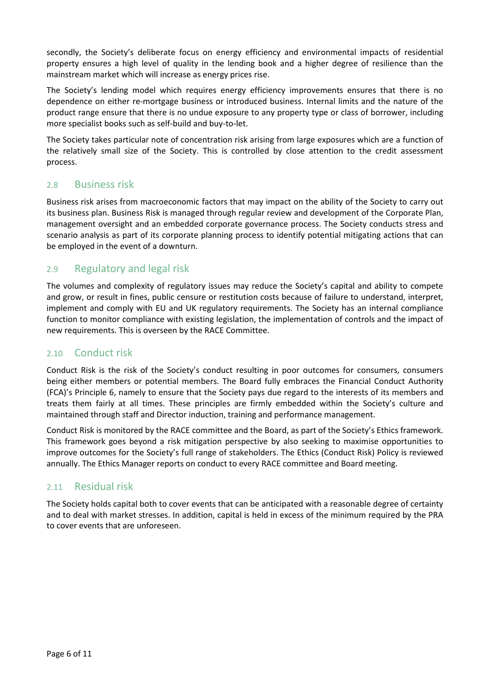secondly, the Society's deliberate focus on energy efficiency and environmental impacts of residential property ensures a high level of quality in the lending book and a higher degree of resilience than the mainstream market which will increase as energy prices rise.

The Society's lending model which requires energy efficiency improvements ensures that there is no dependence on either re-mortgage business or introduced business. Internal limits and the nature of the product range ensure that there is no undue exposure to any property type or class of borrower, including more specialist books such as self-build and buy-to-let.

The Society takes particular note of concentration risk arising from large exposures which are a function of the relatively small size of the Society. This is controlled by close attention to the credit assessment process.

### 2.8 Business risk

Business risk arises from macroeconomic factors that may impact on the ability of the Society to carry out its business plan. Business Risk is managed through regular review and development of the Corporate Plan, management oversight and an embedded corporate governance process. The Society conducts stress and scenario analysis as part of its corporate planning process to identify potential mitigating actions that can be employed in the event of a downturn.

# 2.9 Regulatory and legal risk

The volumes and complexity of regulatory issues may reduce the Society's capital and ability to compete and grow, or result in fines, public censure or restitution costs because of failure to understand, interpret, implement and comply with EU and UK regulatory requirements. The Society has an internal compliance function to monitor compliance with existing legislation, the implementation of controls and the impact of new requirements. This is overseen by the RACE Committee.

# 2.10 Conduct risk

Conduct Risk is the risk of the Society's conduct resulting in poor outcomes for consumers, consumers being either members or potential members. The Board fully embraces the Financial Conduct Authority (FCA)'s Principle 6, namely to ensure that the Society pays due regard to the interests of its members and treats them fairly at all times. These principles are firmly embedded within the Society's culture and maintained through staff and Director induction, training and performance management.

Conduct Risk is monitored by the RACE committee and the Board, as part of the Society's Ethics framework. This framework goes beyond a risk mitigation perspective by also seeking to maximise opportunities to improve outcomes for the Society's full range of stakeholders. The Ethics (Conduct Risk) Policy is reviewed annually. The Ethics Manager reports on conduct to every RACE committee and Board meeting.

# 2.11 Residual risk

The Society holds capital both to cover events that can be anticipated with a reasonable degree of certainty and to deal with market stresses. In addition, capital is held in excess of the minimum required by the PRA to cover events that are unforeseen.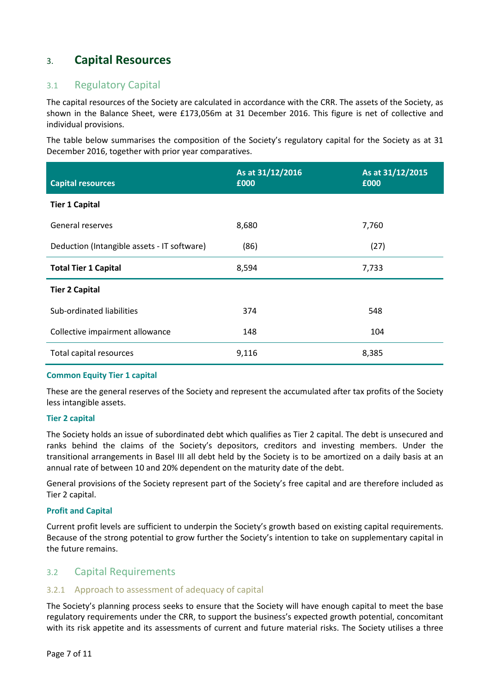# 3. **Capital Resources**

### 3.1 Regulatory Capital

The capital resources of the Society are calculated in accordance with the CRR. The assets of the Society, as shown in the Balance Sheet, were £173,056m at 31 December 2016. This figure is net of collective and individual provisions.

The table below summarises the composition of the Society's regulatory capital for the Society as at 31 December 2016, together with prior year comparatives.

| <b>Capital resources</b>                    | As at 31/12/2016<br>£000 | As at 31/12/2015<br>£000 |
|---------------------------------------------|--------------------------|--------------------------|
| <b>Tier 1 Capital</b>                       |                          |                          |
| General reserves                            | 8,680                    | 7,760                    |
| Deduction (Intangible assets - IT software) | (86)                     | (27)                     |
| <b>Total Tier 1 Capital</b>                 | 8,594                    | 7,733                    |
| <b>Tier 2 Capital</b>                       |                          |                          |
| Sub-ordinated liabilities                   | 374                      | 548                      |
| Collective impairment allowance             | 148                      | 104                      |
| Total capital resources                     | 9,116                    | 8,385                    |

#### **Common Equity Tier 1 capital**

These are the general reserves of the Society and represent the accumulated after tax profits of the Society less intangible assets.

#### **Tier 2 capital**

The Society holds an issue of subordinated debt which qualifies as Tier 2 capital. The debt is unsecured and ranks behind the claims of the Society's depositors, creditors and investing members. Under the transitional arrangements in Basel III all debt held by the Society is to be amortized on a daily basis at an annual rate of between 10 and 20% dependent on the maturity date of the debt.

General provisions of the Society represent part of the Society's free capital and are therefore included as Tier 2 capital.

#### **Profit and Capital**

Current profit levels are sufficient to underpin the Society's growth based on existing capital requirements. Because of the strong potential to grow further the Society's intention to take on supplementary capital in the future remains.

### 3.2 Capital Requirements

#### 3.2.1 Approach to assessment of adequacy of capital

The Society's planning process seeks to ensure that the Society will have enough capital to meet the base regulatory requirements under the CRR, to support the business's expected growth potential, concomitant with its risk appetite and its assessments of current and future material risks. The Society utilises a three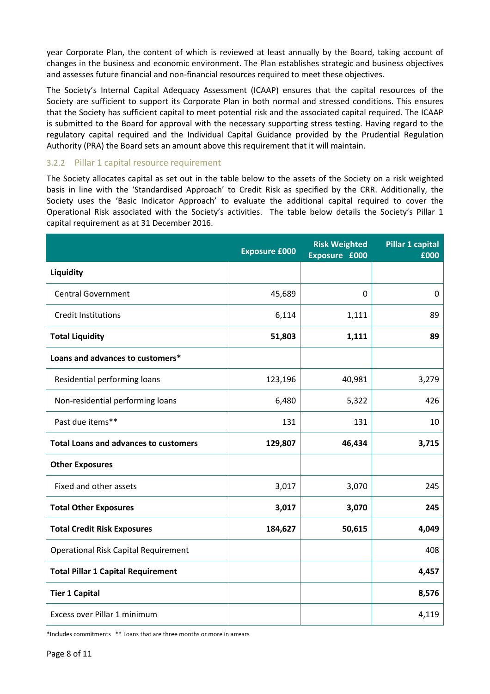year Corporate Plan, the content of which is reviewed at least annually by the Board, taking account of changes in the business and economic environment. The Plan establishes strategic and business objectives and assesses future financial and non-financial resources required to meet these objectives.

The Society's Internal Capital Adequacy Assessment (ICAAP) ensures that the capital resources of the Society are sufficient to support its Corporate Plan in both normal and stressed conditions. This ensures that the Society has sufficient capital to meet potential risk and the associated capital required. The ICAAP is submitted to the Board for approval with the necessary supporting stress testing. Having regard to the regulatory capital required and the Individual Capital Guidance provided by the Prudential Regulation Authority (PRA) the Board sets an amount above this requirement that it will maintain.

#### 3.2.2 Pillar 1 capital resource requirement

The Society allocates capital as set out in the table below to the assets of the Society on a risk weighted basis in line with the 'Standardised Approach' to Credit Risk as specified by the CRR. Additionally, the Society uses the 'Basic Indicator Approach' to evaluate the additional capital required to cover the Operational Risk associated with the Society's activities. The table below details the Society's Pillar 1 capital requirement as at 31 December 2016.

|                                              | <b>Exposure £000</b> | <b>Risk Weighted</b><br>Exposure £000 | <b>Pillar 1 capital</b><br>£000 |
|----------------------------------------------|----------------------|---------------------------------------|---------------------------------|
| Liquidity                                    |                      |                                       |                                 |
| <b>Central Government</b>                    | 45,689               | 0                                     | $\mathbf 0$                     |
| <b>Credit Institutions</b>                   | 6,114                | 1,111                                 | 89                              |
| <b>Total Liquidity</b>                       | 51,803               | 1,111                                 | 89                              |
| Loans and advances to customers*             |                      |                                       |                                 |
| Residential performing loans                 | 123,196              | 40,981                                | 3,279                           |
| Non-residential performing loans             | 6,480                | 5,322                                 | 426                             |
| Past due items**                             | 131                  | 131                                   | 10                              |
| <b>Total Loans and advances to customers</b> | 129,807              | 46,434                                | 3,715                           |
| <b>Other Exposures</b>                       |                      |                                       |                                 |
| Fixed and other assets                       | 3,017                | 3,070                                 | 245                             |
| <b>Total Other Exposures</b>                 | 3,017                | 3,070                                 | 245                             |
| <b>Total Credit Risk Exposures</b>           | 184,627              | 50,615                                | 4,049                           |
| <b>Operational Risk Capital Requirement</b>  |                      |                                       | 408                             |
| <b>Total Pillar 1 Capital Requirement</b>    |                      |                                       | 4,457                           |
| <b>Tier 1 Capital</b>                        |                      |                                       | 8,576                           |
| Excess over Pillar 1 minimum                 |                      |                                       | 4,119                           |

\*Includes commitments \*\* Loans that are three months or more in arrears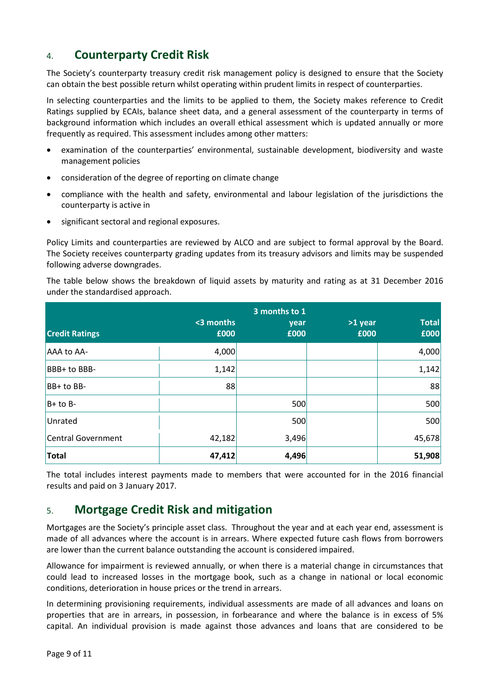# 4. **Counterparty Credit Risk**

The Society's counterparty treasury credit risk management policy is designed to ensure that the Society can obtain the best possible return whilst operating within prudent limits in respect of counterparties.

In selecting counterparties and the limits to be applied to them, the Society makes reference to Credit Ratings supplied by ECAIs, balance sheet data, and a general assessment of the counterparty in terms of background information which includes an overall ethical assessment which is updated annually or more frequently as required. This assessment includes among other matters:

- examination of the counterparties' environmental, sustainable development, biodiversity and waste management policies
- consideration of the degree of reporting on climate change
- compliance with the health and safety, environmental and labour legislation of the jurisdictions the counterparty is active in
- significant sectoral and regional exposures.

Policy Limits and counterparties are reviewed by ALCO and are subject to formal approval by the Board. The Society receives counterparty grading updates from its treasury advisors and limits may be suspended following adverse downgrades.

The table below shows the breakdown of liquid assets by maturity and rating as at 31 December 2016 under the standardised approach.

|                       |                   | 3 months to 1 |                 |                      |
|-----------------------|-------------------|---------------|-----------------|----------------------|
| <b>Credit Ratings</b> | <3 months<br>£000 | year<br>£000  | >1 year<br>£000 | <b>Total</b><br>£000 |
| AAA to AA-            | 4,000             |               |                 | 4,000                |
| BBB+ to BBB-          | 1,142             |               |                 | 1,142                |
| $ BB+to BB-$          | 88                |               |                 | 88                   |
| $B+$ to B-            |                   | 500           |                 | 500                  |
| Unrated               |                   | 500           |                 | 500                  |
| Central Government    | 42,182            | 3,496         |                 | 45,678               |
| <b>Total</b>          | 47,412            | 4,496         |                 | 51,908               |

The total includes interest payments made to members that were accounted for in the 2016 financial results and paid on 3 January 2017.

# 5. **Mortgage Credit Risk and mitigation**

Mortgages are the Society's principle asset class. Throughout the year and at each year end, assessment is made of all advances where the account is in arrears. Where expected future cash flows from borrowers are lower than the current balance outstanding the account is considered impaired.

Allowance for impairment is reviewed annually, or when there is a material change in circumstances that could lead to increased losses in the mortgage book, such as a change in national or local economic conditions, deterioration in house prices or the trend in arrears.

In determining provisioning requirements, individual assessments are made of all advances and loans on properties that are in arrears, in possession, in forbearance and where the balance is in excess of 5% capital. An individual provision is made against those advances and loans that are considered to be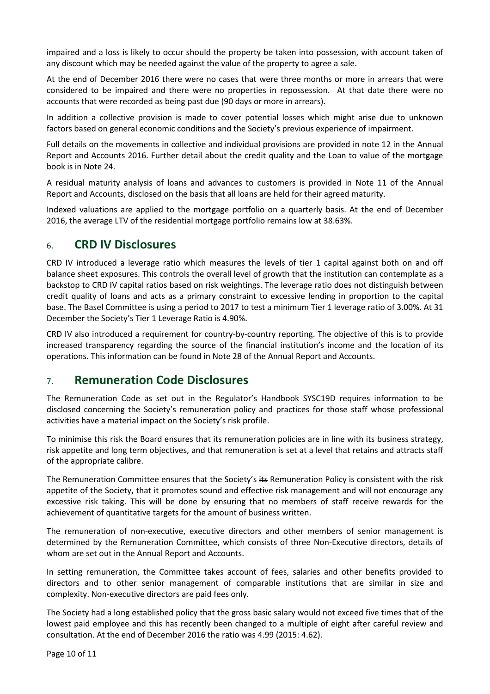impaired and a loss is likely to occur should the property be taken into possession, with account taken of any discount which may be needed against the value of the property to agree a sale.

At the end of December 2016 there were no cases that were three months or more in arrears that were considered to be impaired and there were no properties in repossession. At that date there were no accounts that were recorded as being past due (90 days or more in arrears).

In addition a collective provision is made to cover potential losses which might arise due to unknown factors based on general economic conditions and the Society's previous experience of impairment.

Full details on the movements in collective and individual provisions are provided in note 12 in the Annual Report and Accounts 2016. Further detail about the credit quality and the Loan to value of the mortgage book is in Note 24.

A residual maturity analysis of loans and advances to customers is provided in Note 11 of the Annual Report and Accounts, disclosed on the basis that all loans are held for their agreed maturity.

Indexed valuations are applied to the mortgage portfolio on a quarterly basis. At the end of December 2016, the average LTV of the residential mortgage portfolio remains low at 38.63%.

# 6. **CRD IV Disclosures**

CRD IV introduced a leverage ratio which measures the levels of tier 1 capital against both on and off balance sheet exposures. This controls the overall level of growth that the institution can contemplate as a backstop to CRD IV capital ratios based on risk weightings. The leverage ratio does not distinguish between credit quality of loans and acts as a primary constraint to excessive lending in proportion to the capital base. The Basel Committee is using a period to 2017 to test a minimum Tier 1 leverage ratio of 3.00%. At 31 December the Society's Tier 1 Leverage Ratio is 4.90%.

CRD IV also introduced a requirement for country-by-country reporting. The objective of this is to provide increased transparency regarding the source of the financial institution's income and the location of its operations. This information can be found in Note 28 of the Annual Report and Accounts.

# 7. **Remuneration Code Disclosures**

The Remuneration Code as set out in the Regulator's Handbook SYSC19D requires information to be disclosed concerning the Society's remuneration policy and practices for those staff whose professional activities have a material impact on the Society's risk profile.

To minimise this risk the Board ensures that its remuneration policies are in line with its business strategy, risk appetite and long term objectives, and that remuneration is set at a level that retains and attracts staff of the appropriate calibre.

The Remuneration Committee ensures that the Society's its Remuneration Policy is consistent with the risk appetite of the Society, that it promotes sound and effective risk management and will not encourage any excessive risk taking. This will be done by ensuring that no members of staff receive rewards for the achievement of quantitative targets for the amount of business written.

The remuneration of non-executive, executive directors and other members of senior management is determined by the Remuneration Committee, which consists of three Non-Executive directors, details of whom are set out in the Annual Report and Accounts.

In setting remuneration, the Committee takes account of fees, salaries and other benefits provided to directors and to other senior management of comparable institutions that are similar in size and complexity. Non-executive directors are paid fees only.

The Society had a long established policy that the gross basic salary would not exceed five times that of the lowest paid employee and this has recently been changed to a multiple of eight after careful review and consultation. At the end of December 2016 the ratio was 4.99 (2015: 4.62).